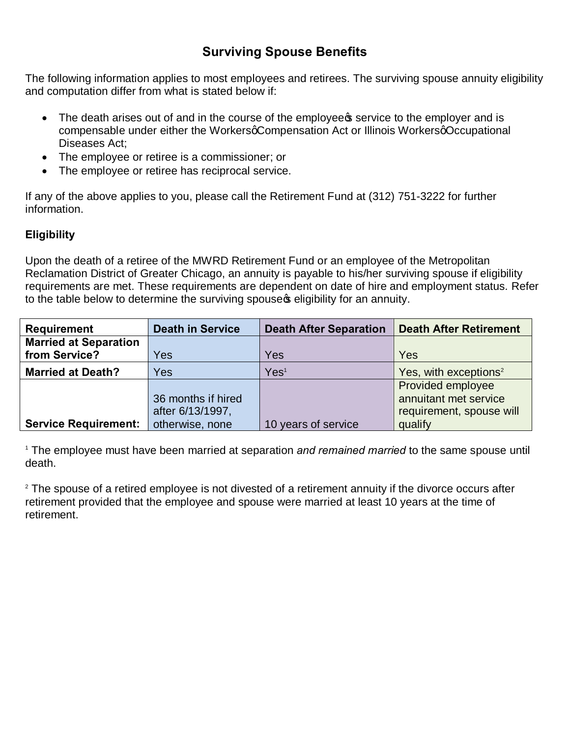# **Surviving Spouse Benefits**

The following information applies to most employees and retirees. The surviving spouse annuity eligibility and computation differ from what is stated below if:

- The death arises out of and in the course of the employee pservice to the employer and is compensable under either the WorkersqCompensation Act or Illinois WorkersqOccupational Diseases Act;
- · The employee or retiree is a commissioner; or
- · The employee or retiree has reciprocal service.

If any of the above applies to you, please call the Retirement Fund at (312) 751-3222 for further information.

## **Eligibility**

Upon the death of a retiree of the MWRD Retirement Fund or an employee of the Metropolitan Reclamation District of Greater Chicago, an annuity is payable to his/her surviving spouse if eligibility requirements are met. These requirements are dependent on date of hire and employment status. Refer to the table below to determine the surviving spouse igipility for an annuity.

| <b>Requirement</b>           | <b>Death in Service</b> | <b>Death After Separation</b> | <b>Death After Retirement</b>     |
|------------------------------|-------------------------|-------------------------------|-----------------------------------|
| <b>Married at Separation</b> |                         |                               |                                   |
| from Service?                | Yes                     | Yes                           | Yes                               |
| <b>Married at Death?</b>     | Yes                     | Yes <sup>1</sup>              | Yes, with exceptions <sup>2</sup> |
|                              |                         |                               | Provided employee                 |
|                              | 36 months if hired      |                               | annuitant met service             |
|                              | after 6/13/1997,        |                               | requirement, spouse will          |
| <b>Service Requirement:</b>  | otherwise, none         | 10 years of service           | qualify                           |

<sup>1</sup> The employee must have been married at separation *and remained married* to the same spouse until death.

 $2$  The spouse of a retired employee is not divested of a retirement annuity if the divorce occurs after retirement provided that the employee and spouse were married at least 10 years at the time of retirement.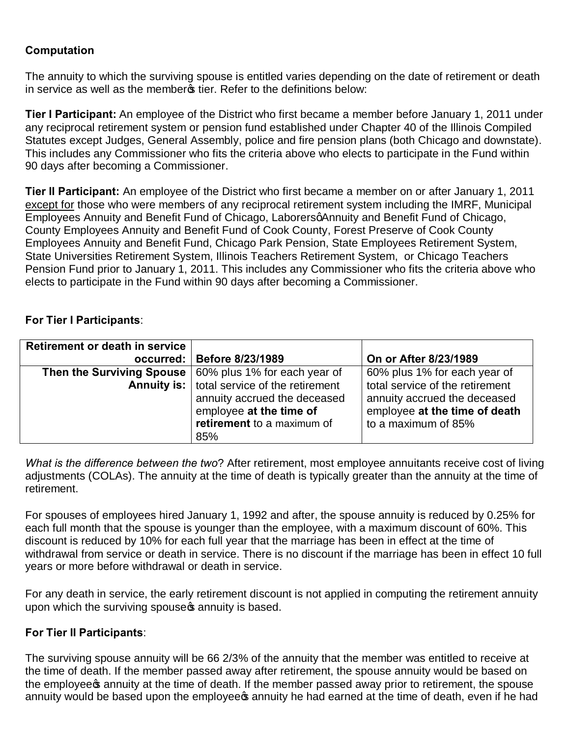## **Computation**

The annuity to which the surviving spouse is entitled varies depending on the date of retirement or death in service as well as the memberg tier. Refer to the definitions below:

**Tier I Participant:** An employee of the District who first became a member before January 1, 2011 under any reciprocal retirement system or pension fund established under Chapter 40 of the Illinois Compiled Statutes except Judges, General Assembly, police and fire pension plans (both Chicago and downstate). This includes any Commissioner who fits the criteria above who elects to participate in the Fund within 90 days after becoming a Commissioner.

**Tier II Participant:** An employee of the District who first became a member on or after January 1, 2011 except for those who were members of any reciprocal retirement system including the IMRF, Municipal Employees Annuity and Benefit Fund of Chicago, LaborersgAnnuity and Benefit Fund of Chicago, County Employees Annuity and Benefit Fund of Cook County, Forest Preserve of Cook County Employees Annuity and Benefit Fund, Chicago Park Pension, State Employees Retirement System, State Universities Retirement System, Illinois Teachers Retirement System, or Chicago Teachers Pension Fund prior to January 1, 2011. This includes any Commissioner who fits the criteria above who elects to participate in the Fund within 90 days after becoming a Commissioner.

#### **For Tier I Participants**:

| <b>Retirement or death in service</b> |                                                                 |                                 |
|---------------------------------------|-----------------------------------------------------------------|---------------------------------|
|                                       | occurred:   Before 8/23/1989                                    | On or After 8/23/1989           |
|                                       | <b>Then the Surviving Spouse</b>   60% plus 1% for each year of | 60% plus 1% for each year of    |
|                                       | <b>Annuity is:</b>   total service of the retirement            | total service of the retirement |
|                                       | annuity accrued the deceased                                    | annuity accrued the deceased    |
|                                       | employee at the time of                                         | employee at the time of death   |
|                                       | retirement to a maximum of                                      | to a maximum of 85%             |
|                                       | 85%                                                             |                                 |

*What is the difference between the two*? After retirement, most employee annuitants receive cost of living adjustments (COLAs). The annuity at the time of death is typically greater than the annuity at the time of retirement.

For spouses of employees hired January 1, 1992 and after, the spouse annuity is reduced by 0.25% for each full month that the spouse is younger than the employee, with a maximum discount of 60%. This discount is reduced by 10% for each full year that the marriage has been in effect at the time of withdrawal from service or death in service. There is no discount if the marriage has been in effect 10 full years or more before withdrawal or death in service.

For any death in service, the early retirement discount is not applied in computing the retirement annuity upon which the surviving spouse w annuity is based.

#### **For Tier II Participants**:

The surviving spouse annuity will be 66 2/3% of the annuity that the member was entitled to receive at the time of death. If the member passed away after retirement, the spouse annuity would be based on the employee a annuity at the time of death. If the member passed away prior to retirement, the spouse annuity would be based upon the employees annuity he had earned at the time of death, even if he had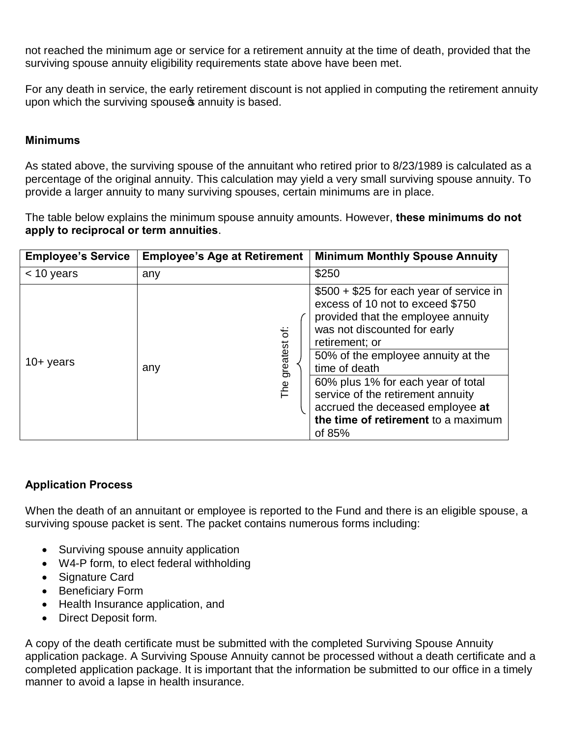not reached the minimum age or service for a retirement annuity at the time of death, provided that the surviving spouse annuity eligibility requirements state above have been met.

For any death in service, the early retirement discount is not applied in computing the retirement annuity upon which the surviving spouse of annuity is based.

### **Minimums**

As stated above, the surviving spouse of the annuitant who retired prior to 8/23/1989 is calculated as a percentage of the original annuity. This calculation may yield a very small surviving spouse annuity. To provide a larger annuity to many surviving spouses, certain minimums are in place.

The table below explains the minimum spouse annuity amounts. However, **these minimums do not apply to reciprocal or term annuities**.

| <b>Employee's Service</b> | <b>Employee's Age at Retirement</b> | <b>Minimum Monthly Spouse Annuity</b>                                                                                                                                                                                                                                                                                                                                                       |
|---------------------------|-------------------------------------|---------------------------------------------------------------------------------------------------------------------------------------------------------------------------------------------------------------------------------------------------------------------------------------------------------------------------------------------------------------------------------------------|
| $<$ 10 years              | any                                 | \$250                                                                                                                                                                                                                                                                                                                                                                                       |
| $10+$ years               | ä<br>greatest<br>any<br>The         | \$500 + \$25 for each year of service in<br>excess of 10 not to exceed \$750<br>provided that the employee annuity<br>was not discounted for early<br>retirement; or<br>50% of the employee annuity at the<br>time of death<br>60% plus 1% for each year of total<br>service of the retirement annuity<br>accrued the deceased employee at<br>the time of retirement to a maximum<br>of 85% |

## **Application Process**

When the death of an annuitant or employee is reported to the Fund and there is an eligible spouse, a surviving spouse packet is sent. The packet contains numerous forms including:

- · Surviving spouse annuity application
- · W4-P form, to elect federal withholding
- · Signature Card
- · Beneficiary Form
- · Health Insurance application, and
- · Direct Deposit form.

A copy of the death certificate must be submitted with the completed Surviving Spouse Annuity application package. A Surviving Spouse Annuity cannot be processed without a death certificate and a completed application package. It is important that the information be submitted to our office in a timely manner to avoid a lapse in health insurance.